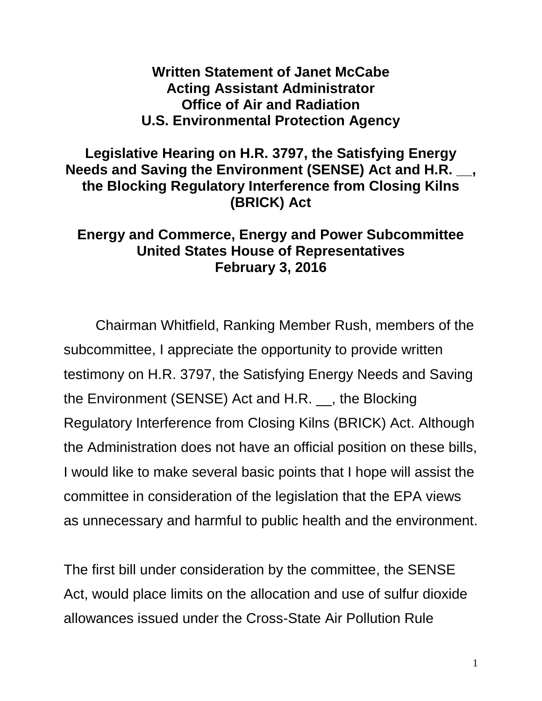## **Written Statement of Janet McCabe Acting Assistant Administrator Office of Air and Radiation U.S. Environmental Protection Agency**

## **Legislative Hearing on H.R. 3797, the Satisfying Energy Needs and Saving the Environment (SENSE) Act and H.R. \_\_, the Blocking Regulatory Interference from Closing Kilns (BRICK) Act**

## **Energy and Commerce, Energy and Power Subcommittee United States House of Representatives February 3, 2016**

Chairman Whitfield, Ranking Member Rush, members of the subcommittee, I appreciate the opportunity to provide written testimony on H.R. 3797, the Satisfying Energy Needs and Saving the Environment (SENSE) Act and H.R. \_\_, the Blocking Regulatory Interference from Closing Kilns (BRICK) Act. Although the Administration does not have an official position on these bills, I would like to make several basic points that I hope will assist the committee in consideration of the legislation that the EPA views as unnecessary and harmful to public health and the environment.

The first bill under consideration by the committee, the SENSE Act, would place limits on the allocation and use of sulfur dioxide allowances issued under the Cross-State Air Pollution Rule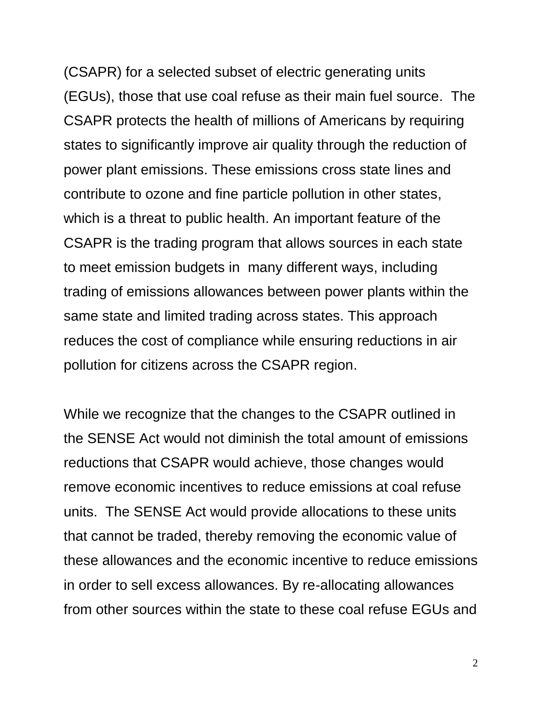(CSAPR) for a selected subset of electric generating units (EGUs), those that use coal refuse as their main fuel source. The CSAPR protects the health of millions of Americans by requiring states to significantly improve air quality through the reduction of power plant emissions. These emissions cross state lines and contribute to ozone and fine particle pollution in other states, which is a threat to public health. An important feature of the CSAPR is the trading program that allows sources in each state to meet emission budgets in many different ways, including trading of emissions allowances between power plants within the same state and limited trading across states. This approach reduces the cost of compliance while ensuring reductions in air pollution for citizens across the CSAPR region.

While we recognize that the changes to the CSAPR outlined in the SENSE Act would not diminish the total amount of emissions reductions that CSAPR would achieve, those changes would remove economic incentives to reduce emissions at coal refuse units. The SENSE Act would provide allocations to these units that cannot be traded, thereby removing the economic value of these allowances and the economic incentive to reduce emissions in order to sell excess allowances. By re-allocating allowances from other sources within the state to these coal refuse EGUs and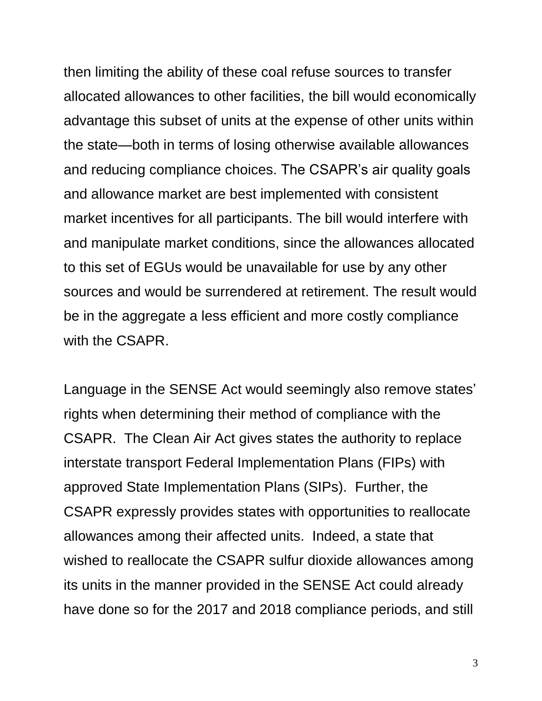then limiting the ability of these coal refuse sources to transfer allocated allowances to other facilities, the bill would economically advantage this subset of units at the expense of other units within the state—both in terms of losing otherwise available allowances and reducing compliance choices. The CSAPR's air quality goals and allowance market are best implemented with consistent market incentives for all participants. The bill would interfere with and manipulate market conditions, since the allowances allocated to this set of EGUs would be unavailable for use by any other sources and would be surrendered at retirement. The result would be in the aggregate a less efficient and more costly compliance with the CSAPR.

Language in the SENSE Act would seemingly also remove states' rights when determining their method of compliance with the CSAPR. The Clean Air Act gives states the authority to replace interstate transport Federal Implementation Plans (FIPs) with approved State Implementation Plans (SIPs). Further, the CSAPR expressly provides states with opportunities to reallocate allowances among their affected units. Indeed, a state that wished to reallocate the CSAPR sulfur dioxide allowances among its units in the manner provided in the SENSE Act could already have done so for the 2017 and 2018 compliance periods, and still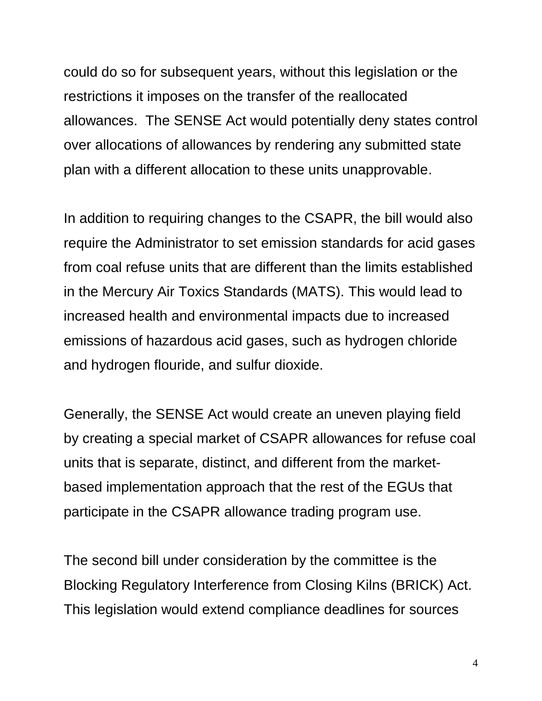could do so for subsequent years, without this legislation or the restrictions it imposes on the transfer of the reallocated allowances. The SENSE Act would potentially deny states control over allocations of allowances by rendering any submitted state plan with a different allocation to these units unapprovable.

In addition to requiring changes to the CSAPR, the bill would also require the Administrator to set emission standards for acid gases from coal refuse units that are different than the limits established in the Mercury Air Toxics Standards (MATS). This would lead to increased health and environmental impacts due to increased emissions of hazardous acid gases, such as hydrogen chloride and hydrogen flouride, and sulfur dioxide.

Generally, the SENSE Act would create an uneven playing field by creating a special market of CSAPR allowances for refuse coal units that is separate, distinct, and different from the marketbased implementation approach that the rest of the EGUs that participate in the CSAPR allowance trading program use.

The second bill under consideration by the committee is the Blocking Regulatory Interference from Closing Kilns (BRICK) Act. This legislation would extend compliance deadlines for sources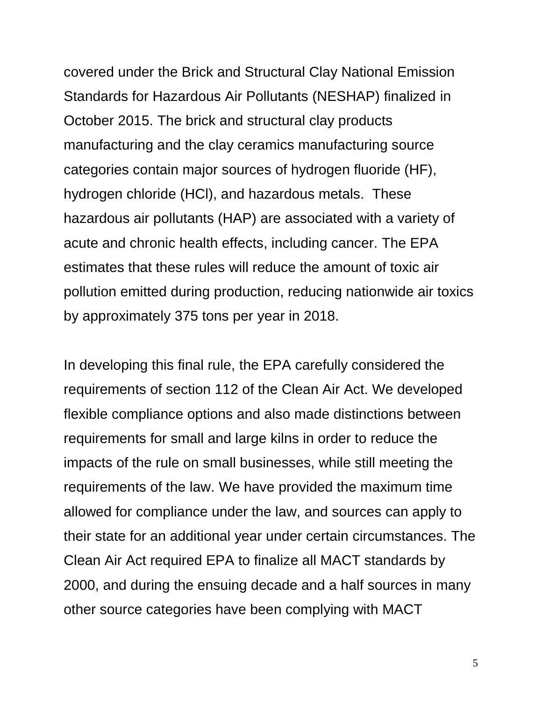covered under the Brick and Structural Clay National Emission Standards for Hazardous Air Pollutants (NESHAP) finalized in October 2015. The brick and structural clay products manufacturing and the clay ceramics manufacturing source categories contain major sources of hydrogen fluoride (HF), hydrogen chloride (HCl), and hazardous metals. These hazardous air pollutants (HAP) are associated with a variety of acute and chronic health effects, including cancer. The EPA estimates that these rules will reduce the amount of toxic air pollution emitted during production, reducing nationwide air toxics by approximately 375 tons per year in 2018.

In developing this final rule, the EPA carefully considered the requirements of section 112 of the Clean Air Act. We developed flexible compliance options and also made distinctions between requirements for small and large kilns in order to reduce the impacts of the rule on small businesses, while still meeting the requirements of the law. We have provided the maximum time allowed for compliance under the law, and sources can apply to their state for an additional year under certain circumstances. The Clean Air Act required EPA to finalize all MACT standards by 2000, and during the ensuing decade and a half sources in many other source categories have been complying with MACT